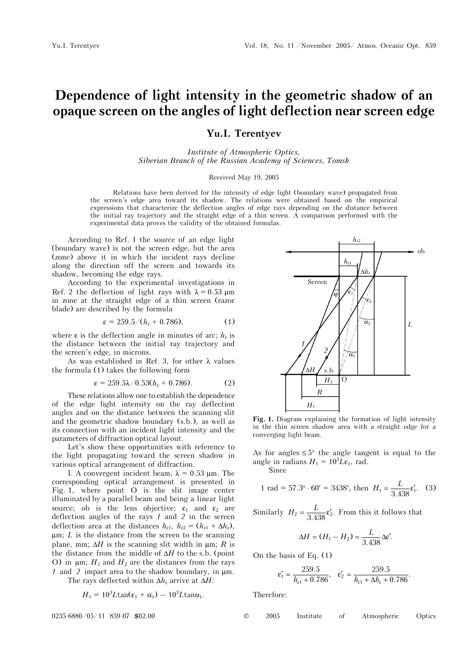## **Dependence of light intensity in the geometric shadow of an opaque screen on the angles of light deflection near screen edge**

## **Yu.I. Terentyev**

*Institute of Atmospheric Optics, Siberian Branch of the Russian Academy of Sciences, Tomsk* 

## Received May 19, 2005

Relations have been derived for the intensity of edge light (boundary wave) propagated from the screen's edge area toward its shadow. The relations were obtained based on the empirical expressions that characterize the deflection angles of edge rays depending on the distance between the initial ray trajectory and the straight edge of a thin screen. A comparison performed with the experimental data proves the validity of the obtained formulas.

According to Ref. 1 the source of an edge light (boundary wave) is not the screen edge, but the area (zone) above it in which the incident rays decline along the direction off the screen and towards its shadow, becoming the edge rays.

According to the experimental investigations in Ref. 2 the deflection of light rays with  $\lambda = 0.53 \text{ }\mu\text{m}$ in zone at the straight edge of a thin screen (razor blade) are described by the formula

$$
\varepsilon = 259.5/(h_z + 0.786), \tag{1}
$$

where  $\varepsilon$  is the deflection angle in minutes of arc;  $h_z$  is the distance between the initial ray trajectory and the screen's edge, in microns.

As was established in Ref. 3, for other  $\lambda$  values the formula (1) takes the following form

$$
\varepsilon = 259.5\lambda/0.53(h_z + 0.786). \tag{2}
$$

These relations allow one to establish the dependence of the edge light intensity on the ray deflection angles and on the distance between the scanning slit and the geometric shadow boundary (s.b.), as well as its connection with an incident light intensity and the parameters of diffraction optical layout.

Let's show these opportunities with reference to the light propagating toward the screen shadow in various optical arrangement of diffraction.

I. A convergent incident beam,  $\lambda = 0.53$  µm. The corresponding optical arrangement is presented in Fig. 1, where point O is the slit image center illuminated by a parallel beam and being a linear light source; ob is the lens objective;  $\varepsilon_1$  and  $\varepsilon_2$  are deflection angles of the rays *1* and *2* in the screen deflection area at the distances  $h_{z1}$ ,  $h_{z2} = (h_{z1} + \Delta h_z)$ , μm; *L* is the distance from the screen to the scanning plane, mm;  $\Delta H$  is the scanning slit width in  $\mu$ m; *R* is the distance from the middle of Δ*H* to the s.b. (point  $[0]$  in μm; *H*<sub>1</sub> and *H*<sub>2</sub> are the distances from the rays *1* and *2* impact area to the shadow boundary, in μm.

The rays deflected within  $\Delta h_z$  arrive at  $\Delta H$ :

$$
H_1 = 10^3 L \tan(\varepsilon_1 + \alpha_1) - 10^3 L \tan \alpha_1.
$$

$$
0235-6880/05/11 859-07 802.00
$$



**Fig. 1.** Diagram explaining the formation of light intensity in the thin screen shadow area with a straight edge for a converging light beam.

As for angles  $\leq 5^{\circ}$  the angle tangent is equal to the angle in radians  $H_1 = 10^3 L \varepsilon_1$ , rad.

Since

1 rad = 57.3° · 60′ = 3438′, then 
$$
H_1 = \frac{L}{3.438} \epsilon'_1
$$
. (3)

Similarly  $H_2 = \frac{L}{3.438} \epsilon'_2$ . From this it follows that

$$
\Delta H = (H_1 - H_2) = \frac{L}{3.438} \Delta \varepsilon'.
$$

On the basis of Eq. (1)

$$
\epsilon_1'=\frac{259.5}{h_{z1}+0.786},\quad \epsilon_2'=\frac{259.5}{h_{z1}+\Delta h_z+0.786}.
$$

Therefore: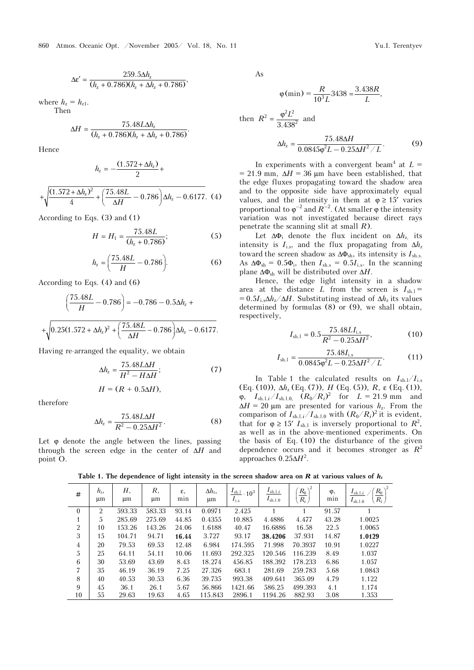$$
\Delta \varepsilon' = \frac{259.5 \Delta h_z}{(h_z + 0.786)(h_z + \Delta h_z + 0.786)},
$$

where  $h_{7} = h_{71}$ . Then

$$
\Delta H = \frac{75.48L\Delta h_z}{(h_z + 0.786)(h_z + \Delta h_z + 0.786)}.
$$

Hence

$$
h_{z} = -\frac{(1.572 + \Delta h_{z})}{2} +
$$

$$
+\sqrt{\frac{(1.572+\Delta h_z)^2}{4}+\left(\frac{75.48L}{\Delta H}-0.786\right)\Delta h_z-0.6177}.\hspace{0.2cm}(4)
$$

According to Eqs. (3) and (1)

$$
H = H_1 = \frac{75.48L}{(h_z + 0.786)};
$$
 (5)

$$
h_z = \left(\frac{75.48L}{H} - 0.786\right). \tag{6}
$$

According to Eqs. (4) and (6)

$$
\left(\frac{75.48L}{H} - 0.786\right) = -0.786 - 0.5\Delta h_z +
$$

$$
+\sqrt{0.25(1.572 + \Delta h_z)^2 + \left(\frac{75.48L}{\Delta H} - 0.786\right)\Delta h_z - 0.6177}.
$$

Having re-arranged the equality, we obtain

$$
\Delta h_z = \frac{75.48L\Delta H}{H^2 - H\Delta H};\tag{7}
$$

$$
H=(R+0.5\Delta H),
$$

therefore

$$
\Delta h_z = \frac{75.48L\Delta H}{R^2 - 0.25\Delta H^2}.
$$
 (8)

Let  $\varphi$  denote the angle between the lines, passing through the screen edge in the center of Δ*H* and point O.

As

$$
\varphi(\min) = \frac{R}{10^3 L} 3438 = \frac{3.438R}{L},
$$
then  $R^2 = \frac{\varphi^2 L^2}{3.438^2}$  and

$$
\Delta h_z = \frac{75.48\Delta H}{0.0845\varphi^2 L - 0.25\Delta H^2 / L}.
$$
 (9)

In experiments with a convergent beam<sup>4</sup> at  $L =$  $= 21.9$  mm,  $\Delta H = 36$  µm have been established, that the edge fluxes propagating toward the shadow area and to the opposite side have approximately equal values, and the intensity in them at  $\varphi \geq 15'$  varies proportional to  $\varphi^{-2}$  and  $R^{-2}$ . (At smaller  $\varphi$  the intensity variation was not investigated because direct rays penetrate the scanning slit at small *R*).

Let  $\Delta \Phi_i$  denote the flux incident on  $\Delta h_{\rm z}$  its intensity is  $I_{i,s}$ , and the flux propagating from  $\Delta h_z$ toward the screen shadow as  $\Delta \Phi_{sh}$ , its intensity is  $I_{sh.s.}$ As  $\Delta \Phi_{sh} = 0.5 \Phi_i$ , then  $I_{sh.s} = 0.5 I_{i.s}$ . In the scanning plane  $\Delta \Phi_{sh}$  will be distributed over  $\Delta H$ .

Hence, the edge light intensity in a shadow area at the distance  $L$  from the screen is  $I_{\text{sh,l}} =$  $= 0.5I_{1s}\Delta h_z/\Delta H$ . Substituting instead of  $\Delta h_z$  its values determined by formulas (8) or (9), we shall obtain, respectively,

$$
I_{\text{sh.1}} = 0.5 \frac{75.48 L I_{\text{i.s}}}{R^2 - 0.25 \Delta H^2},\tag{10}
$$

$$
I_{\text{sh.1}} = \frac{75.48 I_{\text{i.s}}}{0.0845 \varphi^2 L - 0.25 \Delta H^2 / L}.
$$
 (11)

In Table 1 the calculated results on  $I_{\text{sh.}l}/I_{\text{i.s.}}$ (Eq. (10)), Δ*h*z (Eq. (7)), *H* (Eq. (5)), *R*, ε (Eq. (1)), ϕ, *I*sh.l.*i*/*I*sh.l.0, (*R*0/*Ri*)2 for *L* = 21.9 mm and  $\Delta H = 20 \mu \text{m}$  are presented for various  $h_z$ . From the comparison of  $I_{\text{sh.l.}i}/I_{\text{sh.l.}0}$  with  $(R_0/R_i)^2$  it is evident, that for  $\varphi \geq 15' I_{\text{sh.1}}$  is inversely proportional to  $R^2$ , as well as in the above-mentioned experiments. On the basis of Eq. (10) the disturbance of the given dependence occurs and it becomes stronger as  $R^2$ approaches 0.25Δ*H*<sup>2</sup> .

Table 1. The dependence of light intensity in the screen shadow area on  $R$  at various values of  $h_z$ 

| #              | $h_{\rm z}$<br>$\mu$ m | Н,<br>μm | R,<br>$\mu$ m | ε,<br>min | $\Delta h_z$<br>$\mu$ m | $\frac{I_{\text{sh.l}}}{I} \cdot 10^3$<br>$I_{\rm i.s}$ | $I_{\mathrm{sh.l.}i}$<br>$I_{\text{sh.l.0}}$ | $\sqrt{2}$<br>$R_0$<br>$\overline{R_i}$ | φ,<br>min | $R_0$<br>$I_{\text{sh.l.}i}$<br>$R_i$<br>$I_{\rm sh,1,0}$ |
|----------------|------------------------|----------|---------------|-----------|-------------------------|---------------------------------------------------------|----------------------------------------------|-----------------------------------------|-----------|-----------------------------------------------------------|
| $\theta$       | 2                      | 593.33   | 583.33        | 93.14     | 0.0971                  | 2.425                                                   |                                              |                                         | 91.57     |                                                           |
| 1              | 5                      | 285.69   | 275.69        | 44.85     | 0.4355                  | 10.885                                                  | 4.4886                                       | 4.477                                   | 43.28     | 1.0025                                                    |
| $\overline{2}$ | 10                     | 153.26   | 143.26        | 24.06     | 1.6188                  | 40.47                                                   | 16.6886                                      | 16.58                                   | 22.5      | 1.0065                                                    |
| 3              | 15                     | 104.71   | 94.71         | 16.44     | 3.727                   | 93.17                                                   | 38.4206                                      | 37.931                                  | 14.87     | 1.0129                                                    |
| $\overline{4}$ | 20                     | 79.53    | 69.53         | 12.48     | 6.984                   | 174.595                                                 | 71.998                                       | 70.3937                                 | 10.91     | 1.0227                                                    |
| 5              | 25                     | 64.11    | 54.11         | 10.06     | 11.693                  | 292.325                                                 | 120.546                                      | 116.239                                 | 8.49      | 1.037                                                     |
| 6              | 30                     | 53.69    | 43.69         | 8.43      | 18.274                  | 456.85                                                  | 188.392                                      | 178.233                                 | 6.86      | 1.057                                                     |
| 7              | 35                     | 46.19    | 36.19         | 7.25      | 27.326                  | 683.1                                                   | 281.69                                       | 259.783                                 | 5.68      | 1.0843                                                    |
| 8              | 40                     | 40.53    | 30.53         | 6.36      | 39.735                  | 993.38                                                  | 409.641                                      | 365.09                                  | 4.79      | 1.122                                                     |
| 9              | 45                     | 36.1     | 26.1          | 5.67      | 56.866                  | 1421.66                                                 | 586.25                                       | 499.393                                 | 4.1       | 1.174                                                     |
| 10             | 55                     | 29.63    | 19.63         | 4.65      | 115.843                 | 2896.1                                                  | 1194.26                                      | 882.93                                  | 3.08      | 1.353                                                     |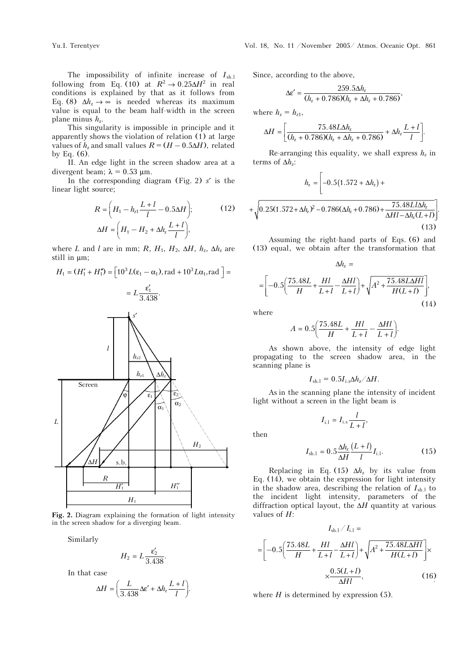The impossibility of infinite increase of  $I_{\text{sh.l}}$ following from Eq. (10) at  $R^2 \rightarrow 0.25 \Delta H^2$  in real conditions is explained by that as it follows from Eq. (8)  $\Delta h_z \rightarrow \infty$  is needed whereas its maximum value is equal to the beam half-width in the screen plane minus  $h_{\rm z}$ .

This singularity is impossible in principle and it apparently shows the violation of relation (1) at large values of  $h_z$  and small values  $R = (H - 0.5\Delta H)$ , related by Eq. (6).

II. An edge light in the screen shadow area at a divergent beam;  $\lambda = 0.53$  µm.

In the corresponding diagram (Fig. 2) *s*′ is the linear light source;

$$
R = \left(H_1 - h_{z1} \frac{L+l}{l} - 0.5\Delta H\right);
$$
\n
$$
\Delta H = \left(H_1 - H_2 + \Delta h_z \frac{L+l}{l}\right),
$$
\n(12)

where *L* and *l* are in mm; *R*,  $H_1$ ,  $H_2$ ,  $\Delta H$ ,  $h_z$ ,  $\Delta h_z$  are still in μm;

$$
H_1 = (H'_1 + H'_1) = \left[10^3 L(\varepsilon_1 - \alpha_1), \text{rad} + 10^3 L \alpha_1, \text{rad}\right] =
$$

$$
= L \frac{\varepsilon'_1}{3.438}.
$$



**Fig. 2.** Diagram explaining the formation of light intensity in the screen shadow for a diverging beam.

Similarly

$$
H_2 = L \frac{\varepsilon_2'}{3.438}.
$$

In that case

$$
\Delta H = \left(\frac{L}{3.438} \Delta \varepsilon' + \Delta h_z \frac{L+l}{l}\right).
$$

Since, according to the above,

$$
\Delta \varepsilon' = \frac{259.5 \Delta h_z}{(h_z + 0.786)(h_z + \Delta h_z + 0.786)},
$$

where  $h_z = h_{z1}$ ,

$$
\Delta H = \left[ \frac{75.48 L \Delta h_z}{(h_z + 0.786)(h_z + \Delta h_z + 0.786)} + \Delta h_z \frac{L + l}{l} \right].
$$

Re-arranging this equality, we shall express  $h<sub>z</sub>$  in terms of  $\Delta h_i$ :

$$
h_z = \left[ -0.5(1.572 + \Delta h_z) + \sqrt{0.25(1.572 + \Delta h_z)^2 - 0.786(\Delta h_z + 0.786) + \frac{75.48Ll\Delta h_z}{\Delta Hl - \Delta h_z(L+l)}} \right].
$$
\n(13)

Assuming the right-hand parts of Eqs. (6) and (13) equal, we obtain after the transformation that

Δ = *h*<sup>z</sup>

$$
\Delta H_z =
$$
  
=  $\left[ -0.5 \left( \frac{75.48L}{H} + \frac{Hl}{L+l} - \frac{\Delta Hl}{L+l} \right) + \sqrt{A^2 + \frac{75.48L\Delta Hl}{H(L+l)}} \right],$  (14)

where

$$
A=0.5\bigg(\frac{75.48L}{H}+\frac{Hl}{L+l}-\frac{\Delta Hl}{L+l}\bigg).
$$

As shown above, the intensity of edge light propagating to the screen shadow area, in the scanning plane is

$$
I_{\rm sh.1}=0.5I_{\rm i.s}\Delta h_{\rm z}/\Delta H.
$$

As in the scanning plane the intensity of incident light without a screen in the light beam is

 $I_{i,1} = I_{i,s} \frac{l}{l+1},$ 

$$
then
$$

$$
I_{\text{sh.l}} = 0.5 \frac{\Delta h_z}{\Delta H} \frac{(L+l)}{l} I_{\text{i.l}}.\tag{15}
$$

Replacing in Eq. (15)  $\Delta h_z$  by its value from Eq. (14), we obtain the expression for light intensity in the shadow area, describing the relation of  $I_{\text{sh.1}}$  to the incident light intensity, parameters of the diffraction optical layout, the Δ*H* quantity at various values of *H*:

$$
I_{\text{sh.1}}/I_{\text{i.1}} =
$$
\n
$$
= \left[ -0.5 \left( \frac{75.48L}{H} + \frac{Hl}{L+l} - \frac{\Delta Hl}{L+l} \right) + \sqrt{A^2 + \frac{75.48L\Delta Hl}{H(L+l)}} \right] \times \frac{0.5(L+l)}{\Delta Hl},
$$
\n(16)

where  $H$  is determined by expression  $(5)$ .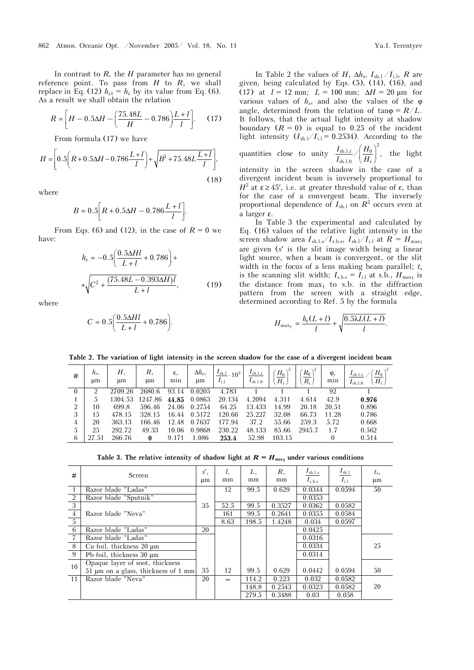In contrast to *R,* the *H* parameter has no general reference point. To pass from  $H$  to  $R$ , we shall replace in Eq. (12)  $h_{z1} = h_z$  by its value from Eq. (6). As a result we shall obtain the relation

$$
R = \left[ H - 0.5\Delta H - \left( \frac{75.48L}{H} - 0.786 \right) \frac{L + l}{l} \right].
$$
 (17)

From formula (17) we have

$$
H = \left[ 0.5 \left( R + 0.5\Delta H - 0.786 \frac{L+l}{l} \right) + \sqrt{B^2 + 75.48L \frac{L+l}{l}} \right],
$$
\n(18)

where

$$
B = 0.5 \bigg[ R + 0.5 \Delta H - 0.786 \frac{L + l}{l} \bigg].
$$

From Eqs. (6) and (12), in the case of  $R = 0$  we have:

$$
h_z = -0.5 \left( \frac{0.5\Delta Hl}{L+l} + 0.786 \right) +
$$
  
 
$$
+\sqrt{C^2 + \frac{(75.48L - 0.393\Delta H)l}{L+l}},
$$
 (19)

where

$$
C = 0.5 \left( \frac{0.5 \Delta Hl}{L + l} + 0.786 \right).
$$

In Table 2 the values of *H*,  $\Delta h_z$ ,  $I_{\text{sh},1}/I_{\text{i},1}$ , *R* are given, being calculated by Eqs. (5), (14), (16), and (17) at  $l = 12$  mm;  $L = 100$  mm;  $\Delta H = 20$  µm for various values of  $h_z$ , and also the values of the  $\varphi$ angle, determined from the relation of  $tan \varphi = R/L$ . It follows, that the actual light intensity at shadow boundary  $(R = 0)$  is equal to 0.25 of the incident light intensity  $(I_{\text{sh.}l}/I_{\text{i.}l} = 0.2534)$ . According to the quantities close to unity  $\left\langle \sinh I_{\rm 2} \right\rangle / \left\langle H_0 \right\rangle^2$ sh.l.0  $\frac{i}{\pi}$  /  $\frac{H_0}{H}$  , *i*  $I_{\mathrm{sh.l.}i}$  *I*  $H$  $\frac{I_{\text{sh.l.}i}}{I_{\text{sh.l.}0}} / \left(\frac{H_0}{H_i}\right)^2$ , the light intensity in the screen shadow in the case of a

divergent incident beam is inversely proportional to *H*<sup>2</sup> at ε ≥ 45', i.e. at greater threshold value of ε, than for the case of a convergent beam. The inversely proportional dependence of  $I_{\text{sh.l}}$  on  $R^2$  occurs even at a larger ε.

In Table 3 the experimental and calculated by Eq. (16) values of the relative light intensity in the screen shadow area  $I_{\text{sh.l.s}}/I_{\text{s,b.s}}, I_{\text{sh.l}}/I_{\text{i,l}}$  at  $R = H_{\text{max1}}$ are given (*s*′ is the slit image width being a linear light source, when a beam is convergent, or the slit width in the focus of a lens making beam parallel;  $t_s$ is the scanning slit width;  $I_{\text{s,b.s}} = I_{\text{i,l}}$  at s.b.,  $H_{\text{max1}}$  is the distance from  $max<sub>1</sub>$  to s.b. in the diffraction pattern from the screen with a straight edge, determined according to Ref. 5 by the formula

$$
H_{\max_1} = \frac{h_{z}(L+l)}{l} + \sqrt{\frac{0.5\lambda L(L+l)}{l}}.
$$

**Table 2. The variation of light intensity in the screen shadow for the case of a divergent incident beam** 

| #        | $h_{z}$<br>μm | Н.<br>μm | R.<br>μm | ε,<br>min | $\Delta h_z$<br>μm | $I_{\text{sh.}1}$<br>$10^{3}$<br>$I_{1,1}$ | $I_{\text{sh.l.}i}$<br>$I_{\text{sh.l.0}}$ | $H_0$<br>$H_i$ | $R_0$<br>$R_i$ | φ,<br>min | $H_0$<br>$I_{\text{sh.l.}i}$<br>$H_i$<br>$I_{\text{sh.}1.0}$ |
|----------|---------------|----------|----------|-----------|--------------------|--------------------------------------------|--------------------------------------------|----------------|----------------|-----------|--------------------------------------------------------------|
| $\theta$ |               | 2709.26  | 2680.6   | 93.14     | 0.0205             | 4.783                                      |                                            |                |                | 92        |                                                              |
|          |               | 1304.53  | 1247.86  | 44.85     | 0.0863             | 20.134                                     | 4.2094                                     | 4.311          | 4.614          | 42.9      | 0.976                                                        |
| 2        | 10            | 699.8    | 596.46   | 24.06     | 0.2754             | 64.25                                      | 13.433                                     | 14.99          | 20.18          | 20.51     | 0.896                                                        |
| 3        | 1.5           | 478.15   | 328.15   | 16.44     | 0.5172             | 120.66                                     | 25.227                                     | 32.08          | 66.73          | 11.28     | 0.786                                                        |
| 4        | 20            | 363.13   | 166.46   | 12.48     | 0.7637             | 177.94                                     | 37.2                                       | 55.66          | 259.3          | 5.72      | 0.668                                                        |
|          | 25            | 292.72   | 49.33    | 10.06     | 0.9868             | 230.22                                     | 48.133                                     | 85.66          | 2945.7         | 1.7       | 0.562                                                        |
| 6        | 27.51         | 266.76   | $\bf{0}$ | 9.171     | 1.086              | 253.4                                      | 52.98                                      | 103.15         |                |           | 0.514                                                        |

Table 3. The relative intensity of shadow light at  $R = H_{\text{max1}}$  under various conditions

| #              | Screen                                   | s',<br>μm | l,<br>mm | L,<br>mm | R,<br>mm | $I_{\rm sh, l.s.}$<br>$I_{\rm s.b.s}$ | $I_{\rm sh,1}$<br>$I_{i,1}$ | $t_{\rm s}$<br>μm |
|----------------|------------------------------------------|-----------|----------|----------|----------|---------------------------------------|-----------------------------|-------------------|
|                |                                          |           |          |          |          |                                       |                             |                   |
|                | Razor blade "Ladas"                      |           | 12       | 99.5     | 0.629    | 0.0344                                | 0.0594                      | 50                |
| <sup>2</sup>   | Razor blade "Sputnik"                    |           |          |          |          | 0.0353                                |                             |                   |
| $\overline{3}$ |                                          | 35        | 52.5     | 99.5     | 0.3527   | 0.0362                                | 0.0582                      |                   |
| $\overline{4}$ | Razor blade "Neva"                       |           | 161      | 99.5     | 0.2641   | 0.0355                                | 0.0584                      |                   |
| - 5            |                                          |           | 8.63     | 198.5    | 1.4248   | 0.034                                 | 0.0597                      |                   |
| - 6            | Razor blade "Ladas"                      | 20        |          |          |          | 0.0425                                |                             |                   |
| 7              | Razor blade "Ladas"                      |           |          |          |          | 0.0316                                |                             |                   |
| -8             | Cu-foil, thickness 20 µm                 |           |          |          |          | 0.0334                                |                             | 25                |
| 9              | Pb-foil, thickness 30 $\mu$ m            |           |          |          |          | 0.0314                                |                             |                   |
| 10             | Opaque layer of soot, thickness          |           |          |          |          |                                       |                             |                   |
|                | 51 $\mu$ m on a glass, thickness of 1 mm | 35        | 12       | 99.5     | 0.629    | 0.0442                                | 0.0594                      | 50                |
| 11             | Razor blade "Neva"                       | 20        | $\infty$ | 114.2    | 0.223    | 0.032                                 | 0.0582                      |                   |
|                |                                          |           |          | 148.8    | 0.2543   | 0.0323                                | 0.0582                      | 20                |
|                |                                          |           |          | 279.5    | 0.3488   | 0.03                                  | 0.058                       |                   |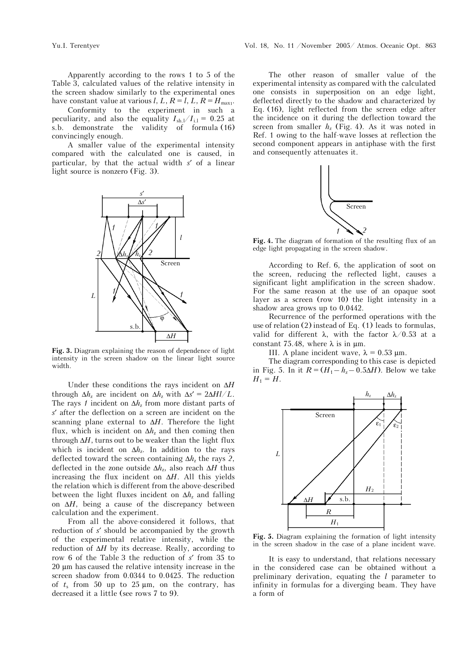Apparently according to the rows 1 to 5 of the Table 3, calculated values of the relative intensity in the screen shadow similarly to the experimental ones have constant value at various *l*, *L*,  $R = l$ ,  $L$ ,  $R = H_{\text{max1}}$ .

Conformity to the experiment in such a peculiarity, and also the equality  $I_{\text{sh.}l}/I_{\text{i.}l} = 0.25$  at s.b. demonstrate the validity of formula (16) convincingly enough.

A smaller value of the experimental intensity compared with the calculated one is caused, in particular, by that the actual width *s*′ of a linear light source is nonzero (Fig. 3).



**Fig. 3.** Diagram explaining the reason of dependence of light intensity in the screen shadow on the linear light source width.

Under these conditions the rays incident on Δ*H* through  $\Delta h_z$  are incident on  $\Delta h_z$  with  $\Delta s' = 2\Delta H l/L$ . The rays *1* incident on  $\Delta h_z$  from more distant parts of *s*′ after the deflection on a screen are incident on the scanning plane external to Δ*H*. Therefore the light flux, which is incident on  $\Delta h_z$  and then coming then through  $\Delta H$ , turns out to be weaker than the light flux which is incident on  $\Delta h_z$ . In addition to the rays deflected toward the screen containing  $\Delta h_z$  the rays 2, deflected in the zone outside  $\Delta h_z$ , also reach  $\Delta H$  thus increasing the flux incident on Δ*H*. All this yields the relation which is different from the above-described between the light fluxes incident on  $\Delta h_z$  and falling on  $\Delta H$ , being a cause of the discrepancy between calculation and the experiment.

From all the above-considered it follows, that reduction of *s*′ should be accompanied by the growth of the experimental relative intensity, while the reduction of  $\Delta H$  by its decrease. Really, according to row 6 of the Table 3 the reduction of *s*′ from 35 to 20 μm has caused the relative intensity increase in the screen shadow from 0.0344 to 0.0425. The reduction of  $t_s$  from 50 up to 25  $\mu$ m, on the contrary, has decreased it a little (see rows 7 to 9).

The other reason of smaller value of the experimental intensity as compared with the calculated one consists in superposition on an edge light, deflected directly to the shadow and characterized by Eq. (16), light reflected from the screen edge after the incidence on it during the deflection toward the screen from smaller  $h<sub>z</sub>$  (Fig. 4). As it was noted in Ref. 1 owing to the half-wave losses at reflection the second component appears in antiphase with the first and consequently attenuates it.



**Fig. 4.** The diagram of formation of the resulting flux of an edge light propagating in the screen shadow.

According to Ref. 6, the application of soot on the screen, reducing the reflected light, causes a significant light amplification in the screen shadow. For the same reason at the use of an opaque soot layer as a screen (row 10) the light intensity in a shadow area grows up to 0.0442.

Recurrence of the performed operations with the use of relation (2) instead of Eq. (1) leads to formulas, valid for different  $\lambda$ , with the factor  $\lambda/0.53$  at a constant 75.48, where  $\lambda$  is in  $\mu$ m.

III. A plane incident wave, λ = 0.53 μm.

The diagram corresponding to this case is depicted in Fig. 5. In it  $R = (H_1 - h_z - 0.5\Delta H)$ . Below we take  $H_1 = H$ .



**Fig. 5.** Diagram explaining the formation of light intensity in the screen shadow in the case of a plane incident wave.

It is easy to understand, that relations necessary in the considered case can be obtained without a preliminary derivation, equating the *l* parameter to infinity in formulas for a diverging beam. They have a form of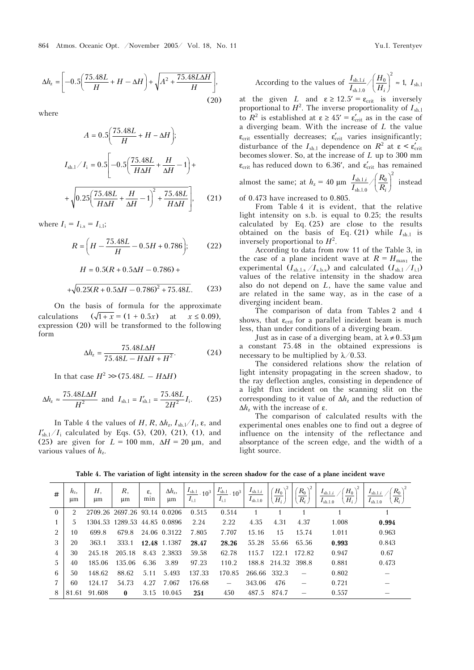$$
\Delta h_z = \left[ -0.5 \left( \frac{75.48L}{H} + H - \Delta H \right) + \sqrt{A^2 + \frac{75.48L\Delta H}{H}} \right],
$$
\n(20)

where

$$
A = 0.5\left(\frac{75.48L}{H} + H - \Delta H\right);
$$
  

$$
I_{\text{sh.1}}/I_{\text{i}} = 0.5\left[-0.5\left(\frac{75.48L}{H\Delta H} + \frac{H}{\Delta H} - 1\right) + \frac{1}{2}\left(0.25\left(\frac{75.48L}{H\Delta H} + \frac{H}{\Delta H} - 1\right)^{2} + \frac{75.48L}{H\Delta H}\right],
$$
 (21)

where  $I_i = I_{i,s} = I_{i,l}$ ;

$$
R = \left(H - \frac{75.48L}{H} - 0.5H + 0.786\right);
$$
 (22)

$$
H = 0.5(R + 0.5\Delta H - 0.786) +
$$
  
+ $\sqrt{0.25(R + 0.5\Delta H - 0.786)^2 + 75.48L}.$  (23)

On the basis of formula for the approximate calculations  $(\sqrt{1 + x}) = (1 + 0.5x)$  at  $x \le 0.09$ ), expression (20) will be transformed to the following form

$$
\Delta h_z = \frac{75.48L\Delta H}{75.48L - H\Delta H + H^2}.
$$
 (24)

In that case  $H^2 \gg (75.48L - H\Delta H)$ 

$$
\Delta h_{z} \approx \frac{75.48L\Delta H}{H^{2}} \text{ and } I_{\text{sh.1}} = I'_{\text{sh.1}} = \frac{75.48L}{2H^{2}} I_{\text{i}}.
$$
 (25)

In Table 4 the values of  $H$ ,  $R$ ,  $\Delta h_z$ ,  $I_{sh}/I_i$ ,  $\varepsilon$ , and  $I'_{\text{sh-1}}/I_{\text{i}}$  calculated by Eqs. (5), (20), (21), (1), and (25) are given for  $L = 100$  mm,  $\Delta H = 20$  µm, and various values of  $h<sub>z</sub>$ .

According to the values of 
$$
\frac{I_{\text{sh.l.i}}}{I_{\text{sh.l.0}}}/\left(\frac{H_0}{H_i}\right)^2 \approx 1
$$
,  $I_{\text{sh.l}}$ 

at the given *L* and  $\varepsilon \ge 12.5' = \varepsilon_{\text{crit}}$  is inversely proportional to  $H^2$ . The inverse proportionality of  $I_{\text{sh.l}}$ to  $R^2$  is established at  $\varepsilon \ge 45' = \varepsilon'_{crit}$  as in the case of a diverging beam. With the increase of *L* the value  $\varepsilon_{\text{crit}}$  essentially decreases;  $\varepsilon_{\text{crit}}'$  varies insignificantly; disturbance of the  $I_{\text{sh.1}}$  dependence on  $R^2$  at  $\varepsilon < \varepsilon_{\text{crit}}'$ becomes slower. So, at the increase of *L* up to 300 mm  $\epsilon_{\text{crit}}$  has reduced down to 6.36′, and  $\epsilon_{\text{crit}}'$  has remained almost the same; at  $h_z = 40 \text{ }\mu\text{m}$  $\left\langle \mathrm{s}\mathrm{h.l.}i\right\rangle \left\langle R_{0}\right\rangle ^{2}$ sh.l.0 /*<sup>i</sup> i*  $I_{\mathrm{sh.l.}i}$  , (  $R$  $\frac{I_{\mathrm{sh.l.}i}}{I_{\mathrm{sh.l.}0}}\sqrt{\left(\frac{R_0}{R_i}\right)^2}$  instead

of 0.473 have increased to 0.805.

From Table 4 it is evident, that the relative light intensity on s.b. is equal to 0.25; the results calculated by Eq. (25) are close to the results obtained on the basis of Eq.  $(21)$  while  $I_{\text{sh}\perp}$  is inversely proportional to  $H^2$ .

According to data from row 11 of the Table 3, in the case of a plane incident wave at  $R = H_{\text{max1}}$  the experimental  $(I_{\text{sh.l.s}} / I_{\text{sh.s}})$  and calculated  $(I_{\text{sh.l}} / I_{\text{il}})$ values of the relative intensity in the shadow area also do not depend on *L*, have the same value and are related in the same way, as in the case of a diverging incident beam.

The comparison of data from Tables 2 and 4 shows, that  $\epsilon_{\rm crit}$  for a parallel incident beam is much less, than under conditions of a diverging beam.

Just as in case of a diverging beam, at  $\lambda \neq 0.53 \,\mu$ m a constant 75.48 in the obtained expressions is necessary to be multiplied by  $\lambda/0.53$ .

The considered relations show the relation of light intensity propagating in the screen shadow, to the ray deflection angles, consisting in dependence of a light flux incident on the scanning slit on the corresponding to it value of  $\Delta h_z$  and the reduction of  $Δh<sub>z</sub>$  with the increase of ε.

The comparison of calculated results with the experimental ones enables one to find out a degree of influence on the intensity of the reflectance and absorptance of the screen edge, and the width of a light source.

**Table 4. The variation of light intensity in the screen shadow for the case of a plane incident wave** 

| #              | $h_{\rm z}$<br>um | Н,<br>μm | R.<br>μm                     | ε,<br>mın | $\Delta h_z$<br>μm | $I_{\text{sh.l}}$ .<br>10 <sup>3</sup><br>$I_{i,1}$ | $\frac{I^\prime_{\rm sh.l}}{I} \cdot 10^3$<br>$I_{i,1}$ | $I_{\text{sh.l.}i}$<br>$I_{\text{sh.l.0}}$ | $H_0$<br>$H_i$ | $R_0$<br>$R_i$ | $H_0$<br>$I_{\text{sh.l.}i}$<br>$H_i$<br>$I_{\rm sh,1,0}$ | $R_{\rm 0}$<br>$I_{\text{sh.l.}i}$<br>$R_i$<br>$I_{\text{sh.}1.0}$ |
|----------------|-------------------|----------|------------------------------|-----------|--------------------|-----------------------------------------------------|---------------------------------------------------------|--------------------------------------------|----------------|----------------|-----------------------------------------------------------|--------------------------------------------------------------------|
| $\theta$       |                   |          | 2709.26 2697.26 93.14 0.0206 |           |                    | 0.515                                               | 0.514                                                   |                                            |                |                |                                                           |                                                                    |
|                |                   |          | 1304.53 1289.53 44.85 0.0896 |           |                    | 2.24                                                | 2.22                                                    | 4.35                                       | 4.31           | 4.37           | 1.008                                                     | 0.994                                                              |
| $\mathfrak{D}$ | 10                | 699.8    | 679.8                        |           | 24.06 0.3122       | 7.805                                               | 7.707                                                   | 15.16                                      | 15             | 15.74          | 1.011                                                     | 0.963                                                              |
| 3              | 20                | 363.1    | 333.1                        |           | 12.48 1.1387       | 28.47                                               | 28.26                                                   | 55.28                                      | 55.66          | 65.56          | 0.993                                                     | 0.843                                                              |
| 4              | 30                | 245.18   | 205.18                       |           | 8.43 2.3833        | 59.58                                               | 62.78                                                   | 115.7                                      | 1221           | 172.82         | 0.947                                                     | 0.67                                                               |
| 5              | 40                | 185.06   | 135.06                       | 6.36      | 3.89               | 97.23                                               | 110.2                                                   | 188.8                                      | 214.32         | 398.8          | 0.881                                                     | 0.473                                                              |
| 6              | 50                | 148.62   | 88.62                        | 5.11      | 5.493              | 137.33                                              | 170.85                                                  | 266.66                                     | 332.3          |                | 0.802                                                     |                                                                    |
|                | 60                | 124.17   | 54.73                        | 4.27      | 7.067              | 176.68                                              |                                                         | 343.06                                     | 476            |                | 0.721                                                     |                                                                    |
| 8              | 81.61             | 91.608   | $\mathbf{0}$                 | 3.15      | 10.045             | 251                                                 | 450                                                     | 487.5                                      | 874.7          |                | 0.557                                                     |                                                                    |